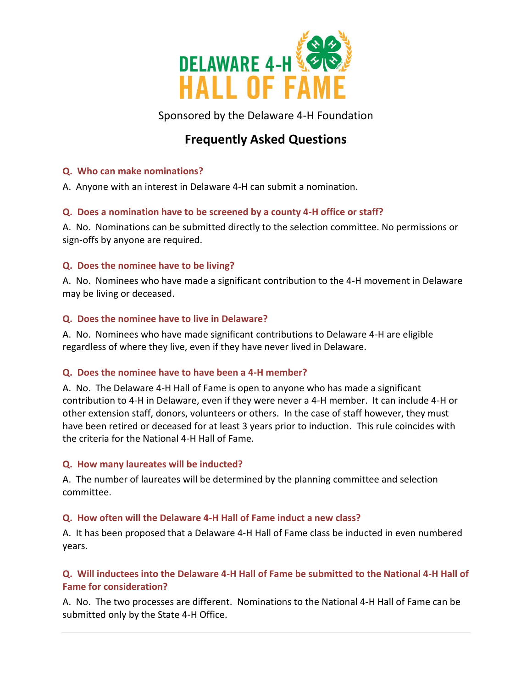

Sponsored by the Delaware 4-H Foundation

# **Frequently Asked Questions**

## **Q. Who can make nominations?**

A. Anyone with an interest in Delaware 4-H can submit a nomination.

# **Q. Does a nomination have to be screened by a county 4-H office or staff?**

A. No. Nominations can be submitted directly to the selection committee. No permissions or sign-offs by anyone are required.

# **Q. Does the nominee have to be living?**

A. No. Nominees who have made a significant contribution to the 4-H movement in Delaware may be living or deceased.

# **Q. Does the nominee have to live in Delaware?**

A. No. Nominees who have made significant contributions to Delaware 4-H are eligible regardless of where they live, even if they have never lived in Delaware.

# **Q. Does the nominee have to have been a 4-H member?**

A. No. The Delaware 4-H Hall of Fame is open to anyone who has made a significant contribution to 4-H in Delaware, even if they were never a 4-H member. It can include 4-H or other extension staff, donors, volunteers or others. In the case of staff however, they must have been retired or deceased for at least 3 years prior to induction. This rule coincides with the criteria for the National 4-H Hall of Fame.

## **Q. How many laureates will be inducted?**

A. The number of laureates will be determined by the planning committee and selection committee.

## **Q. How often will the Delaware 4-H Hall of Fame induct a new class?**

A. It has been proposed that a Delaware 4-H Hall of Fame class be inducted in even numbered years.

# **Q. Will inductees into the Delaware 4-H Hall of Fame be submitted to the National 4-H Hall of Fame for consideration?**

A. No. The two processes are different. Nominations to the National 4-H Hall of Fame can be submitted only by the State 4-H Office.